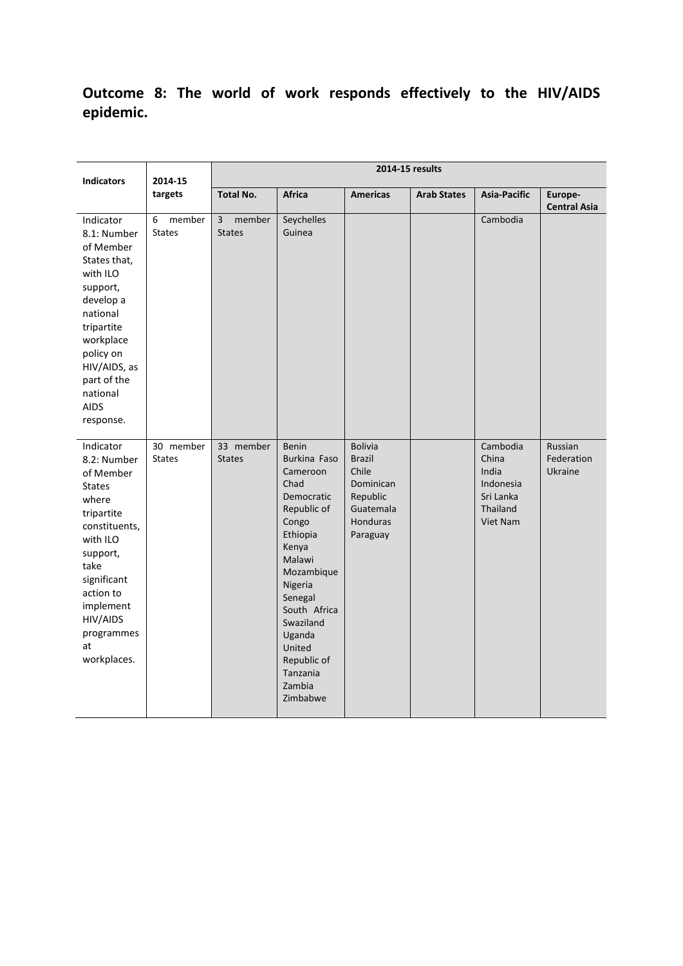# **Outcome 8: The world of work responds effectively to the HIV/AIDS epidemic.**

| <b>Indicators</b>                                                                                                                                                                                                      | 2014-15<br>targets           | 2014-15 results                           |                                                                                                                                                                                                                                                             |                                                                                                               |                    |                                                                              |                                  |
|------------------------------------------------------------------------------------------------------------------------------------------------------------------------------------------------------------------------|------------------------------|-------------------------------------------|-------------------------------------------------------------------------------------------------------------------------------------------------------------------------------------------------------------------------------------------------------------|---------------------------------------------------------------------------------------------------------------|--------------------|------------------------------------------------------------------------------|----------------------------------|
|                                                                                                                                                                                                                        |                              | <b>Total No.</b>                          | Africa                                                                                                                                                                                                                                                      | <b>Americas</b>                                                                                               | <b>Arab States</b> | Asia-Pacific                                                                 | Europe-<br><b>Central Asia</b>   |
| Indicator<br>8.1: Number<br>of Member<br>States that,<br>with ILO<br>support,<br>develop a<br>national<br>tripartite<br>workplace<br>policy on<br>HIV/AIDS, as<br>part of the<br>national<br><b>AIDS</b><br>response.  | 6<br>member<br><b>States</b> | $\overline{3}$<br>member<br><b>States</b> | Seychelles<br>Guinea                                                                                                                                                                                                                                        |                                                                                                               |                    | Cambodia                                                                     |                                  |
| Indicator<br>8.2: Number<br>of Member<br><b>States</b><br>where<br>tripartite<br>constituents,<br>with ILO<br>support,<br>take<br>significant<br>action to<br>implement<br>HIV/AIDS<br>programmes<br>at<br>workplaces. | 30 member<br><b>States</b>   | 33 member<br><b>States</b>                | Benin<br><b>Burkina Faso</b><br>Cameroon<br>Chad<br>Democratic<br>Republic of<br>Congo<br>Ethiopia<br>Kenya<br>Malawi<br>Mozambique<br>Nigeria<br>Senegal<br>South Africa<br>Swaziland<br>Uganda<br>United<br>Republic of<br>Tanzania<br>Zambia<br>Zimbabwe | <b>Bolivia</b><br><b>Brazil</b><br>Chile<br><b>Dominican</b><br>Republic<br>Guatemala<br>Honduras<br>Paraguay |                    | Cambodia<br>China<br>India<br>Indonesia<br>Sri Lanka<br>Thailand<br>Viet Nam | Russian<br>Federation<br>Ukraine |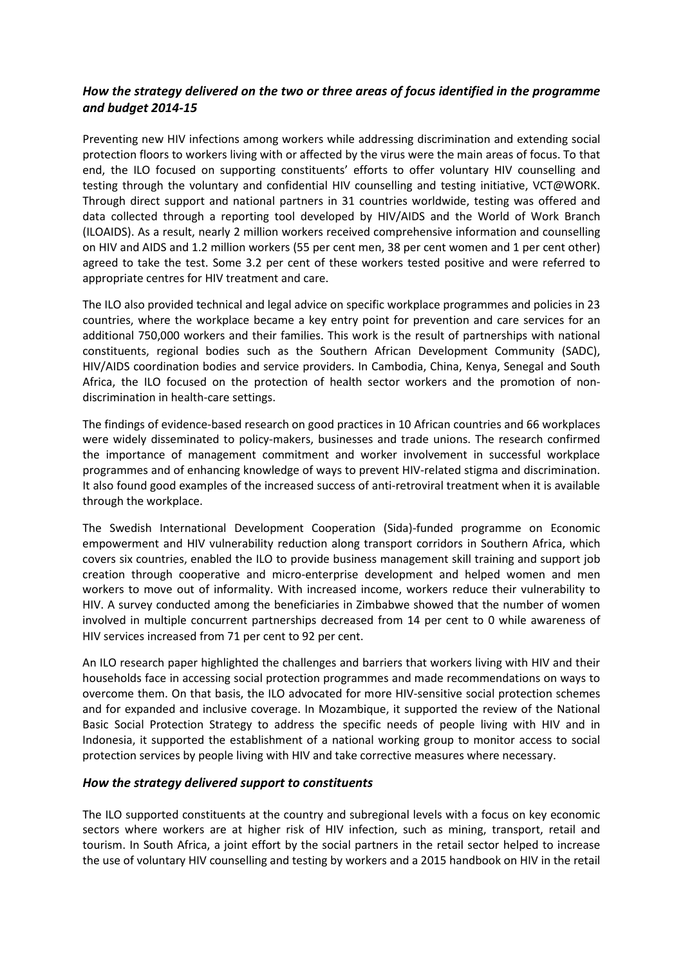## *How the strategy delivered on the two or three areas of focus identified in the programme and budget 2014-15*

Preventing new HIV infections among workers while addressing discrimination and extending social protection floors to workers living with or affected by the virus were the main areas of focus. To that end, the ILO focused on supporting constituents' efforts to offer voluntary HIV counselling and testing through the voluntary and confidential HIV counselling and testing initiative, VCT@WORK. Through direct support and national partners in 31 countries worldwide, testing was offered and data collected through a reporting tool developed by HIV/AIDS and the World of Work Branch (ILOAIDS). As a result, nearly 2 million workers received comprehensive information and counselling on HIV and AIDS and 1.2 million workers (55 per cent men, 38 per cent women and 1 per cent other) agreed to take the test. Some 3.2 per cent of these workers tested positive and were referred to appropriate centres for HIV treatment and care.

The ILO also provided technical and legal advice on specific workplace programmes and policies in 23 countries, where the workplace became a key entry point for prevention and care services for an additional 750,000 workers and their families. This work is the result of partnerships with national constituents, regional bodies such as the Southern African Development Community (SADC), HIV/AIDS coordination bodies and service providers. In Cambodia, China, Kenya, Senegal and South Africa, the ILO focused on the protection of health sector workers and the promotion of nondiscrimination in health-care settings.

The findings of evidence-based research on good practices in 10 African countries and 66 workplaces were widely disseminated to policy-makers, businesses and trade unions. The research confirmed the importance of management commitment and worker involvement in successful workplace programmes and of enhancing knowledge of ways to prevent HIV-related stigma and discrimination. It also found good examples of the increased success of anti-retroviral treatment when it is available through the workplace.

The Swedish International Development Cooperation (Sida)-funded programme on Economic empowerment and HIV vulnerability reduction along transport corridors in Southern Africa, which covers six countries, enabled the ILO to provide business management skill training and support job creation through cooperative and micro-enterprise development and helped women and men workers to move out of informality. With increased income, workers reduce their vulnerability to HIV. A survey conducted among the beneficiaries in Zimbabwe showed that the number of women involved in multiple concurrent partnerships decreased from 14 per cent to 0 while awareness of HIV services increased from 71 per cent to 92 per cent.

An ILO research paper highlighted the challenges and barriers that workers living with HIV and their households face in accessing social protection programmes and made recommendations on ways to overcome them. On that basis, the ILO advocated for more HIV-sensitive social protection schemes and for expanded and inclusive coverage. In Mozambique, it supported the review of the National Basic Social Protection Strategy to address the specific needs of people living with HIV and in Indonesia, it supported the establishment of a national working group to monitor access to social protection services by people living with HIV and take corrective measures where necessary.

#### *How the strategy delivered support to constituents*

The ILO supported constituents at the country and subregional levels with a focus on key economic sectors where workers are at higher risk of HIV infection, such as mining, transport, retail and tourism. In South Africa, a joint effort by the social partners in the retail sector helped to increase the use of voluntary HIV counselling and testing by workers and a 2015 handbook on HIV in the retail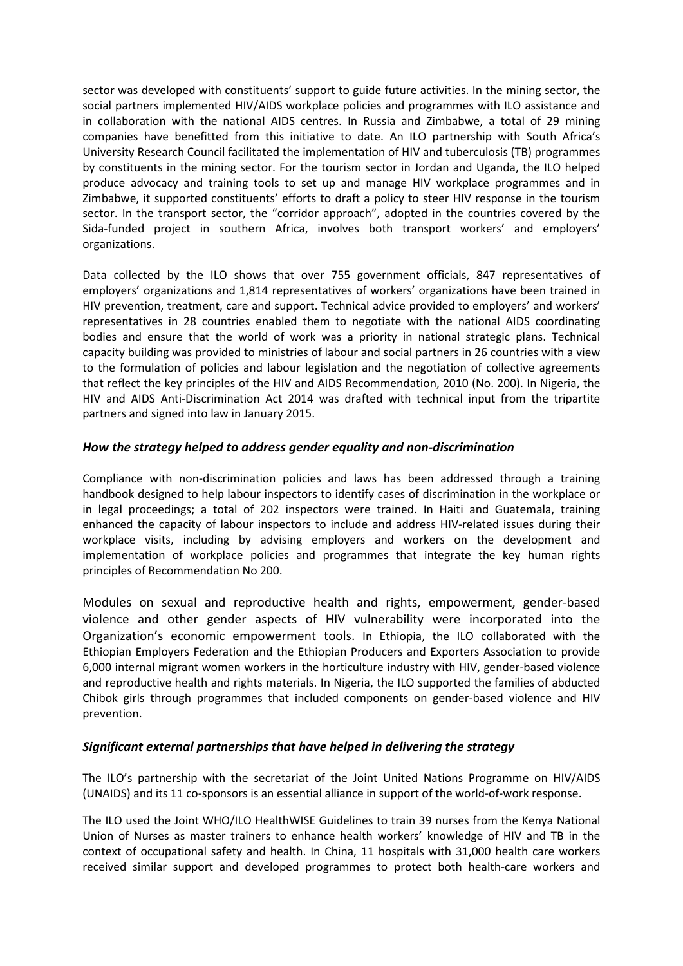sector was developed with constituents' support to guide future activities. In the mining sector, the social partners implemented HIV/AIDS workplace policies and programmes with ILO assistance and in collaboration with the national AIDS centres. In Russia and Zimbabwe, a total of 29 mining companies have benefitted from this initiative to date. An ILO partnership with South Africa's University Research Council facilitated the implementation of HIV and tuberculosis (TB) programmes by constituents in the mining sector. For the tourism sector in Jordan and Uganda, the ILO helped produce advocacy and training tools to set up and manage HIV workplace programmes and in Zimbabwe, it supported constituents' efforts to draft a policy to steer HIV response in the tourism sector. In the transport sector, the "corridor approach", adopted in the countries covered by the Sida-funded project in southern Africa, involves both transport workers' and employers' organizations.

Data collected by the ILO shows that over 755 government officials, 847 representatives of employers' organizations and 1,814 representatives of workers' organizations have been trained in HIV prevention, treatment, care and support. Technical advice provided to employers' and workers' representatives in 28 countries enabled them to negotiate with the national AIDS coordinating bodies and ensure that the world of work was a priority in national strategic plans. Technical capacity building was provided to ministries of labour and social partners in 26 countries with a view to the formulation of policies and labour legislation and the negotiation of collective agreements that reflect the key principles of the HIV and AIDS Recommendation, 2010 (No. 200). In Nigeria, the HIV and AIDS Anti-Discrimination Act 2014 was drafted with technical input from the tripartite partners and signed into law in January 2015.

### *How the strategy helped to address gender equality and non-discrimination*

Compliance with non-discrimination policies and laws has been addressed through a training handbook designed to help labour inspectors to identify cases of discrimination in the workplace or in legal proceedings; a total of 202 inspectors were trained. In Haiti and Guatemala, training enhanced the capacity of labour inspectors to include and address HIV-related issues during their workplace visits, including by advising employers and workers on the development and implementation of workplace policies and programmes that integrate the key human rights principles of Recommendation No 200.

Modules on sexual and reproductive health and rights, empowerment, gender-based violence and other gender aspects of HIV vulnerability were incorporated into the Organization's economic empowerment tools. In Ethiopia, the ILO collaborated with the Ethiopian Employers Federation and the Ethiopian Producers and Exporters Association to provide 6,000 internal migrant women workers in the horticulture industry with HIV, gender-based violence and reproductive health and rights materials. In Nigeria, the ILO supported the families of abducted Chibok girls through programmes that included components on gender-based violence and HIV prevention.

#### *Significant external partnerships that have helped in delivering the strategy*

The ILO's partnership with the secretariat of the Joint United Nations Programme on HIV/AIDS (UNAIDS) and its 11 co-sponsors is an essential alliance in support of the world-of-work response.

The ILO used the Joint WHO/ILO HealthWISE Guidelines to train 39 nurses from the Kenya National Union of Nurses as master trainers to enhance health workers' knowledge of HIV and TB in the context of occupational safety and health. In China, 11 hospitals with 31,000 health care workers received similar support and developed programmes to protect both health-care workers and